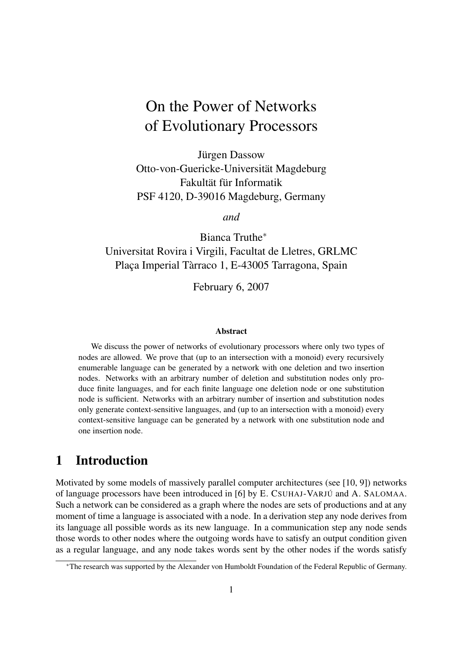# On the Power of Networks of Evolutionary Processors

Jürgen Dassow Otto-von-Guericke-Universität Magdeburg Fakultät für Informatik PSF 4120, D-39016 Magdeburg, Germany

*and*

Bianca Truthe<sup>∗</sup> Universitat Rovira i Virgili, Facultat de Lletres, GRLMC Plaça Imperial Tàrraco 1, E-43005 Tarragona, Spain

February 6, 2007

#### Abstract

We discuss the power of networks of evolutionary processors where only two types of nodes are allowed. We prove that (up to an intersection with a monoid) every recursively enumerable language can be generated by a network with one deletion and two insertion nodes. Networks with an arbitrary number of deletion and substitution nodes only produce finite languages, and for each finite language one deletion node or one substitution node is sufficient. Networks with an arbitrary number of insertion and substitution nodes only generate context-sensitive languages, and (up to an intersection with a monoid) every context-sensitive language can be generated by a network with one substitution node and one insertion node.

### 1 Introduction

Motivated by some models of massively parallel computer architectures (see [10, 9]) networks of language processors have been introduced in [6] by E. CSUHAJ-VARJÚ and A. SALOMAA. Such a network can be considered as a graph where the nodes are sets of productions and at any moment of time a language is associated with a node. In a derivation step any node derives from its language all possible words as its new language. In a communication step any node sends those words to other nodes where the outgoing words have to satisfy an output condition given as a regular language, and any node takes words sent by the other nodes if the words satisfy

<sup>∗</sup>The research was supported by the Alexander von Humboldt Foundation of the Federal Republic of Germany.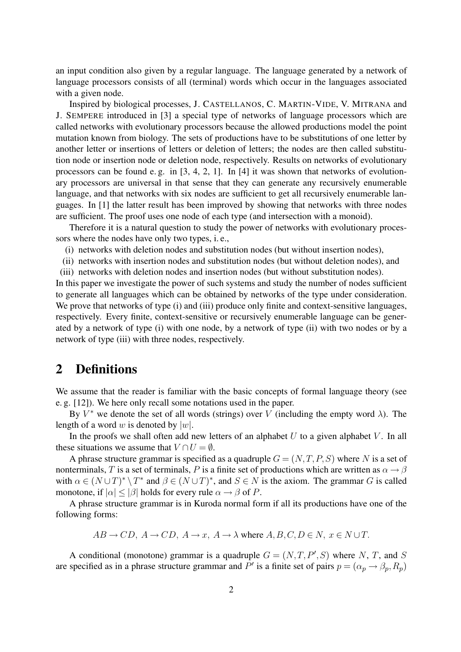an input condition also given by a regular language. The language generated by a network of language processors consists of all (terminal) words which occur in the languages associated with a given node.

Inspired by biological processes, J. CASTELLANOS, C. MARTIN-VIDE, V. MITRANA and J. SEMPERE introduced in [3] a special type of networks of language processors which are called networks with evolutionary processors because the allowed productions model the point mutation known from biology. The sets of productions have to be substitutions of one letter by another letter or insertions of letters or deletion of letters; the nodes are then called substitution node or insertion node or deletion node, respectively. Results on networks of evolutionary processors can be found e. g. in [3, 4, 2, 1]. In [4] it was shown that networks of evolutionary processors are universal in that sense that they can generate any recursively enumerable language, and that networks with six nodes are sufficient to get all recursively enumerable languages. In [1] the latter result has been improved by showing that networks with three nodes are sufficient. The proof uses one node of each type (and intersection with a monoid).

Therefore it is a natural question to study the power of networks with evolutionary processors where the nodes have only two types, i. e.,

- (i) networks with deletion nodes and substitution nodes (but without insertion nodes),
- (ii) networks with insertion nodes and substitution nodes (but without deletion nodes), and
- (iii) networks with deletion nodes and insertion nodes (but without substitution nodes).

In this paper we investigate the power of such systems and study the number of nodes sufficient to generate all languages which can be obtained by networks of the type under consideration. We prove that networks of type (i) and (iii) produce only finite and context-sensitive languages, respectively. Every finite, context-sensitive or recursively enumerable language can be generated by a network of type (i) with one node, by a network of type (ii) with two nodes or by a network of type (iii) with three nodes, respectively.

# 2 Definitions

We assume that the reader is familiar with the basic concepts of formal language theory (see e. g. [12]). We here only recall some notations used in the paper.

By  $V^*$  we denote the set of all words (strings) over V (including the empty word  $\lambda$ ). The length of a word w is denoted by  $|w|$ .

In the proofs we shall often add new letters of an alphabet  $U$  to a given alphabet  $V$ . In all these situations we assume that  $V \cap U = \emptyset$ .

A phrase structure grammar is specified as a quadruple  $G = (N, T, P, S)$  where N is a set of nonterminals, T is a set of terminals, P is a finite set of productions which are written as  $\alpha \rightarrow \beta$ with  $\alpha \in (N \cup T)^* \setminus T^*$  and  $\beta \in (N \cup T)^*$ , and  $S \in N$  is the axiom. The grammar G is called monotone, if  $|\alpha| \leq |\beta|$  holds for every rule  $\alpha \to \beta$  of P.

A phrase structure grammar is in Kuroda normal form if all its productions have one of the following forms:

$$
AB \to CD
$$
,  $A \to CD$ ,  $A \to x$ ,  $A \to \lambda$  where  $A, B, C, D \in N$ ,  $x \in N \cup T$ .

A conditional (monotone) grammar is a quadruple  $G = (N, T, P', S)$  where N, T, and S are specified as in a phrase structure grammar and P' is a finite set of pairs  $p = (\alpha_p \rightarrow \beta_p, R_p)$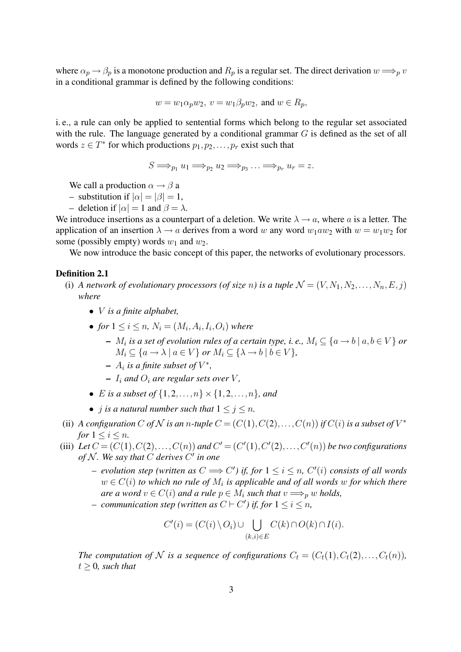where  $\alpha_p \to \beta_p$  is a monotone production and  $R_p$  is a regular set. The direct derivation  $w \Longrightarrow_p v$ in a conditional grammar is defined by the following conditions:

$$
w = w_1 \alpha_p w_2, \ v = w_1 \beta_p w_2, \text{ and } w \in R_p,
$$

i. e., a rule can only be applied to sentential forms which belong to the regular set associated with the rule. The language generated by a conditional grammar  $G$  is defined as the set of all words  $z \in T^*$  for which productions  $p_1, p_2, \ldots, p_r$  exist such that

 $S \Longrightarrow_{p_1} u_1 \Longrightarrow_{p_2} u_2 \Longrightarrow_{p_3} \ldots \Longrightarrow_{p_r} u_r = z.$ 

We call a production  $\alpha \rightarrow \beta$  a

- substitution if  $|\alpha| = |\beta| = 1$ ,
- deletion if  $|\alpha| = 1$  and  $\beta = \lambda$ .

We introduce insertions as a counterpart of a deletion. We write  $\lambda \rightarrow a$ , where a is a letter. The application of an insertion  $\lambda \to a$  derives from a word w any word  $w_1aw_2$  with  $w = w_1w_2$  for some (possibly empty) words  $w_1$  and  $w_2$ .

We now introduce the basic concept of this paper, the networks of evolutionary processors.

#### Definition 2.1

- (i) *A network of evolutionary processors (of size n) is a tuple*  $\mathcal{N} = (V, N_1, N_2, \ldots, N_n, E, j)$ *where*
	- V *is a finite alphabet,*
	- *for*  $1 \leq i \leq n$ ,  $N_i = (M_i, A_i, I_i, O_i)$  where
		- $M_i$  is a set of evolution rules of a certain type, i. e.,  $M_i \subseteq \{a \rightarrow b ~|~ a, b \in V\}$  or  $M_i \subseteq \{a \rightarrow \lambda \mid a \in V\}$  or  $M_i \subseteq \{\lambda \rightarrow b \mid b \in V\},$
		- $-$  A<sub>i</sub> is a finite subset of  $V^*$ ,
		- $I_i$  *and*  $O_i$  *are regular sets over* V,
	- *E* is a subset of  $\{1, 2, ..., n\} \times \{1, 2, ..., n\}$ *, and*
	- *j is a natural number such that*  $1 \leq j \leq n$ .
- (ii) *A configuration* C of N is an *n*-tuple  $C = (C(1), C(2), \ldots, C(n))$  if  $C(i)$  is a subset of  $V^*$ *for*  $1 \leq i \leq n$ *.*
- (iii) Let  $C = (C(1), C(2), \ldots, C(n))$  and  $C' = (C'(1), C'(2), \ldots, C'(n))$  be two configurations *of* N *. We say that* C *derives* C 0 *in one*
	- $-$  *evolution step (written as*  $C$  ⇒  $C'$ ) *if, for*  $1 ≤ i ≤ n$ ,  $C'(i)$  *consists of all words*  $w \in C(i)$  to which no rule of  $M_i$  is applicable and of all words  $w$  for which there *are a word*  $v \in C(i)$  *and a rule*  $p \in M_i$  *such that*  $v \Longrightarrow_{p} w$  *holds,*
	- $-$  *communication step (written as*  $C \vdash C'$ *) if, for*  $1 \leq i \leq n$ ,

$$
C'(i) = (C(i) \setminus O_i) \cup \bigcup_{(k,i) \in E} C(k) \cap O(k) \cap I(i).
$$

*The computation of* N *is a sequence of configurations*  $C_t = (C_t(1), C_t(2), \ldots, C_t(n))$ *,*  $t \geq 0$ , such that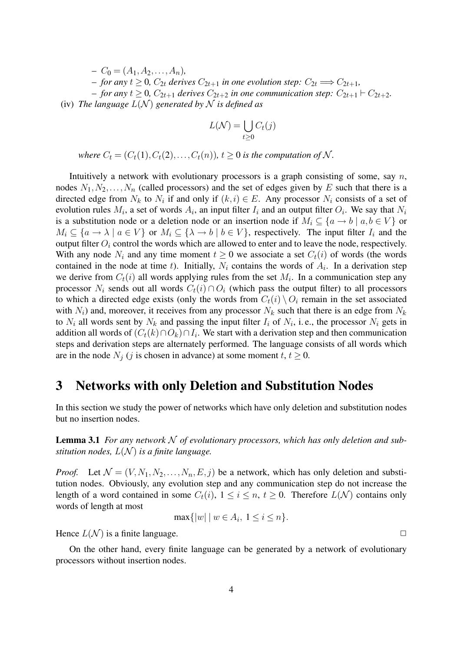$-C_0 = (A_1, A_2, \ldots, A_n)$ – *for any*  $t ≥ 0$ ,  $C_{2t}$  *derives*  $C_{2t+1}$  *in one evolution step:*  $C_{2t}$   $\Longrightarrow$   $C_{2t+1}$ *,* – *for any*  $t ≥ 0$ ,  $C_{2t+1}$  *derives*  $C_{2t+2}$  *in one communication step:*  $C_{2t+1}$  ⊢  $C_{2t+2}$ *.* (iv) *The language*  $L(N)$  *generated by* N *is defined as* 

$$
L(\mathcal{N}) = \bigcup_{t \ge 0} C_t(j)
$$

*where*  $C_t = (C_t(1), C_t(2), \ldots, C_t(n))$ *,*  $t > 0$  *is the computation of* N.

Intuitively a network with evolutionary processors is a graph consisting of some, say  $n$ , nodes  $N_1, N_2, \ldots, N_n$  (called processors) and the set of edges given by E such that there is a directed edge from  $N_k$  to  $N_i$  if and only if  $(k, i) \in E$ . Any processor  $N_i$  consists of a set of evolution rules  $M_i$ , a set of words  $A_i$ , an input filter  $I_i$  and an output filter  $O_i$ . We say that  $N_i$ is a substitution node or a deletion node or an insertion node if  $M_i \subseteq \{a \to b \mid a, b \in V\}$  or  $M_i \subseteq \{a \to \lambda \mid a \in V\}$  or  $M_i \subseteq \{\lambda \to b \mid b \in V\}$ , respectively. The input filter  $I_i$  and the output filter  $O_i$  control the words which are allowed to enter and to leave the node, respectively. With any node  $N_i$  and any time moment  $t \geq 0$  we associate a set  $C_t(i)$  of words (the words contained in the node at time t). Initially,  $N_i$  contains the words of  $A_i$ . In a derivation step we derive from  $C_t(i)$  all words applying rules from the set  $M_i$ . In a communication step any processor  $N_i$  sends out all words  $C_t(i) \cap O_i$  (which pass the output filter) to all processors to which a directed edge exists (only the words from  $C_t(i) \setminus O_i$  remain in the set associated with  $N_i$ ) and, moreover, it receives from any processor  $N_k$  such that there is an edge from  $N_k$ to  $N_i$  all words sent by  $N_k$  and passing the input filter  $I_i$  of  $N_i$ , i.e., the processor  $N_i$  gets in addition all words of  $(C_t(k) \cap O_k) \cap I_i$ . We start with a derivation step and then communication steps and derivation steps are alternately performed. The language consists of all words which are in the node  $N_j$  (j is chosen in advance) at some moment  $t, t \geq 0$ .

### 3 Networks with only Deletion and Substitution Nodes

In this section we study the power of networks which have only deletion and substitution nodes but no insertion nodes.

Lemma 3.1 For any network N of evolutionary processors, which has only deletion and sub*stitution nodes,*  $L(\mathcal{N})$  *is a finite language.* 

*Proof.* Let  $\mathcal{N} = (V, N_1, N_2, \ldots, N_n, E, j)$  be a network, which has only deletion and substitution nodes. Obviously, any evolution step and any communication step do not increase the length of a word contained in some  $C_t(i)$ ,  $1 \le i \le n$ ,  $t \ge 0$ . Therefore  $L(\mathcal{N})$  contains only words of length at most

$$
\max\{|w| \mid w \in A_i, 1 \le i \le n\}.
$$

Hence  $L(\mathcal{N})$  is a finite language.

On the other hand, every finite language can be generated by a network of evolutionary processors without insertion nodes.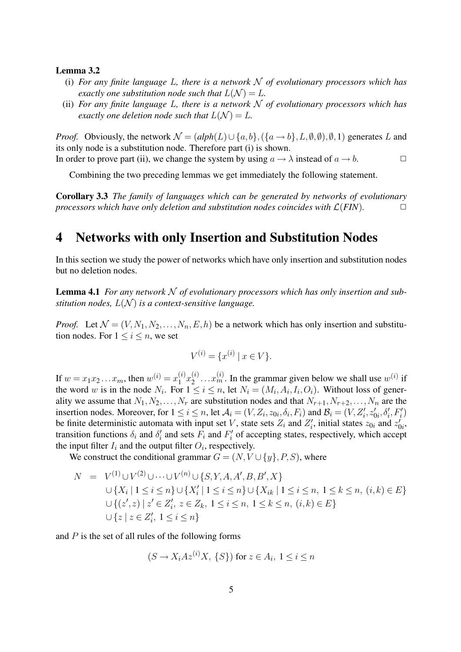#### Lemma 3.2

- (i) *For any finite language* L*, there is a network* N *of evolutionary processors which has exactly one substitution node such that*  $L(\mathcal{N}) = L$ .
- (ii) *For any finite language* L*, there is a network* N *of evolutionary processors which has exactly one deletion node such that*  $L(\mathcal{N}) = L$ *.*

*Proof.* Obviously, the network  $\mathcal{N} = (alpha(L) \cup \{a, b\}, (\{a \rightarrow b\}, L, \emptyset, \emptyset), \emptyset, 1)$  generates L and its only node is a substitution node. Therefore part (i) is shown. In order to prove part (ii), we change the system by using  $a \to \lambda$  instead of  $a \to b$ .

Combining the two preceding lemmas we get immediately the following statement.

Corollary 3.3 *The family of languages which can be generated by networks of evolutionary processors which have only deletion and substitution nodes coincides with*  $\mathcal{L}(FIN)$ .  $\Box$ 

### 4 Networks with only Insertion and Substitution Nodes

In this section we study the power of networks which have only insertion and substitution nodes but no deletion nodes.

Lemma 4.1 For any network N of evolutionary processors which has only insertion and sub*stitution nodes,*  $L(\mathcal{N})$  *is a context-sensitive language.* 

*Proof.* Let  $\mathcal{N} = (V, N_1, N_2, \ldots, N_n, E, h)$  be a network which has only insertion and substitution nodes. For  $1 \leq i \leq n$ , we set

$$
V^{(i)} = \{x^{(i)} \mid x \in V\}.
$$

If  $w = x_1 x_2 ... x_m$ , then  $w^{(i)} = x_1^{(i)}$  $\binom{i}{1}x_2^{(i)}$  $2^{(i)} \dots x_m^{(i)}$ . In the grammar given below we shall use  $w^{(i)}$  if the word w is in the node  $N_i$ . For  $1 \le i \le n$ , let  $N_i = (M_i, A_i, I_i, O_i)$ . Without loss of generality we assume that  $N_1, N_2, \ldots, N_r$  are substitution nodes and that  $N_{r+1}, N_{r+2}, \ldots, N_n$  are the insertion nodes. Moreover, for  $1 \le i \le n$ , let  $\mathcal{A}_i = (V, Z_i, z_{0i}, \delta_i, F_i)$  and  $\mathcal{B}_i = (V, Z'_i, z'_{0i}, \delta'_i, F'_i)$ be finite deterministic automata with input set V, state sets  $Z_i$  and  $Z'_i$ , initial states  $z_{0i}$  and  $z'_i$  $\zeta'_{0i},$ transition functions  $\delta_i$  and  $\delta'_i$  and sets  $F_i$  and  $F'_i$  of accepting states, respectively, which accept the input filter  $I_i$  and the output filter  $O_i$ , respectively.

We construct the conditional grammar  $G = (N, V \cup \{y\}, P, S)$ , where

$$
N = V^{(1)} \cup V^{(2)} \cup \dots \cup V^{(n)} \cup \{S, Y, A, A', B, B', X\}
$$
  
\n
$$
\cup \{X_i \mid 1 \le i \le n\} \cup \{X'_i \mid 1 \le i \le n\} \cup \{X_{ik} \mid 1 \le i \le n, 1 \le k \le n, (i, k) \in E\}
$$
  
\n
$$
\cup \{(z', z) \mid z' \in Z'_i, z \in Z_k, 1 \le i \le n, 1 \le k \le n, (i, k) \in E\}
$$
  
\n
$$
\cup \{z \mid z \in Z'_i, 1 \le i \le n\}
$$

and  $P$  is the set of all rules of the following forms

$$
(S \to X_i A z^{(i)} X, \{S\}) \text{ for } z \in A_i, 1 \le i \le n
$$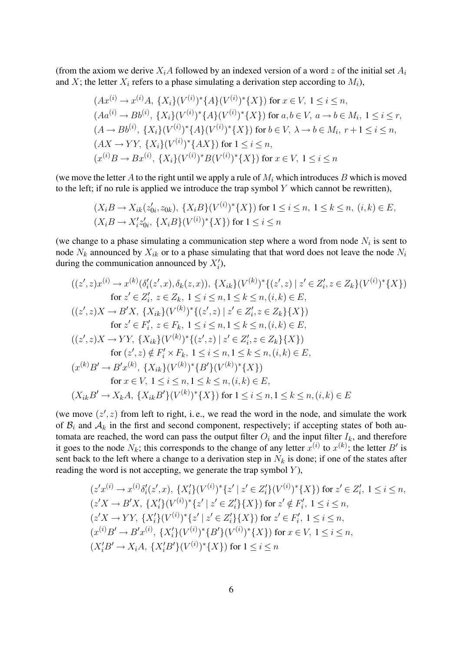(from the axiom we derive  $X_iA$  followed by an indexed version of a word z of the initial set  $A_i$ and X; the letter  $X_i$  refers to a phase simulating a derivation step according to  $M_i$ ),

$$
(Ax^{(i)} \to x^{(i)}A, \{X_i\}(V^{(i)})^*\{A\}(V^{(i)})^*\{X\}) \text{ for } x \in V, 1 \le i \le n,
$$
  
\n
$$
(Aa^{(i)} \to Bb^{(i)}, \{X_i\}(V^{(i)})^*\{A\}(V^{(i)})^*\{X\}) \text{ for } a, b \in V, a \to b \in M_i, 1 \le i \le r,
$$
  
\n
$$
(A \to Bb^{(i)}, \{X_i\}(V^{(i)})^*\{A\}(V^{(i)})^*\{X\}) \text{ for } b \in V, \lambda \to b \in M_i, r+1 \le i \le n,
$$
  
\n
$$
(AX \to YY, \{X_i\}(V^{(i)})^*\{AX\}) \text{ for } 1 \le i \le n,
$$
  
\n
$$
(x^{(i)}B \to Bx^{(i)}, \{X_i\}(V^{(i)})^*B(V^{(i)})^*\{X\}) \text{ for } x \in V, 1 \le i \le n
$$

(we move the letter A to the right until we apply a rule of  $M_i$  which introduces B which is moved to the left; if no rule is applied we introduce the trap symbol  $Y$  which cannot be rewritten),

$$
(X_i B \to X_{ik}(z'_{0i}, z_{0k}), \{X_i B\}(V^{(i)})^*\{X\}) \text{ for } 1 \le i \le n, \ 1 \le k \le n, \ (i, k) \in E,
$$
  

$$
(X_i B \to X'_i z'_{0i}, \{X_i B\}(V^{(i)})^*\{X\}) \text{ for } 1 \le i \le n
$$

(we change to a phase simulating a communication step where a word from node  $N_i$  is sent to node  $N_k$  announced by  $X_{ik}$  or to a phase simulating that that word does not leave the node  $N_i$ during the communication announced by  $X_i'$ ),

$$
((z',z)x^{(i)} \to x^{(k)}(\delta_i'(z',x), \delta_k(z,x)), \{X_{ik}\}(V^{(k)})^*\{(z',z) \mid z' \in Z_i', z \in Z_k\}(V^{(i)})^*\{X\})
$$
  
for  $z' \in Z_i', z \in Z_k, 1 \le i \le n, 1 \le k \le n, (i,k) \in E,$   

$$
((z',z)X \to B'X, \{X_{ik}\}(V^{(k)})^*\{(z',z) \mid z' \in Z_i', z \in Z_k\}\{X\})
$$
  
for  $z' \in F_i', z \in F_k, 1 \le i \le n, 1 \le k \le n, (i,k) \in E,$   

$$
((z',z)X \to YY, \{X_{ik}\}(V^{(k)})^*\{(z',z) \mid z' \in Z_i', z \in Z_k\}\{X\})
$$
  
for  $(z',z) \notin F_i' \times F_k, 1 \le i \le n, 1 \le k \le n, (i,k) \in E,$   

$$
(x^{(k)}B' \to B'x^{(k)}, \{X_{ik}\}(V^{(k)})^*\{B'\}(V^{(k)})^*\{X\})
$$
  
for  $x \in V, 1 \le i \le n, 1 \le k \le n, (i,k) \in E,$   

$$
(X_{ik}B' \to X_kA, \{X_{ik}B'\}(V^{(k)})^*\{X\})
$$
for  $1 \le i \le n, 1 \le k \le n, (i,k) \in E$ 

(we move  $(z', z)$  from left to right, i.e., we read the word in the node, and simulate the work of  $B_i$  and  $A_k$  in the first and second component, respectively; if accepting states of both automata are reached, the word can pass the output filter  $O_i$  and the input filter  $I_k$ , and therefore it goes to the node  $N_k$ ; this corresponds to the change of any letter  $x^{(i)}$  to  $x^{(k)}$ ; the letter  $B'$  is sent back to the left where a change to a derivation step in  $N_k$  is done; if one of the states after reading the word is not accepting, we generate the trap symbol  $Y$ ),

$$
(z'x^{(i)} \rightarrow x^{(i)}\delta'_i(z',x), \{X'_i\}(V^{(i)})^*\{z' \mid z' \in Z'_i\}(V^{(i)})^*\{X\}) \text{ for } z' \in Z'_i, 1 \le i \le n,
$$
  
\n
$$
(z'X \rightarrow B'X, \{X'_i\}(V^{(i)})^*\{z' \mid z' \in Z'_i\}\{X\}) \text{ for } z' \notin F'_i, 1 \le i \le n,
$$
  
\n
$$
(z'X \rightarrow YY, \{X'_i\}(V^{(i)})^*\{z' \mid z' \in Z'_i\}\{X\}) \text{ for } z' \in F'_i, 1 \le i \le n,
$$
  
\n
$$
(x^{(i)}B' \rightarrow B'x^{(i)}, \{X'_i\}(V^{(i)})^*\{B'\}(V^{(i)})^*\{X\}) \text{ for } x \in V, 1 \le i \le n,
$$
  
\n
$$
(X'_iB' \rightarrow X_iA, \{X'_iB'\}(V^{(i)})^*\{X\}) \text{ for } 1 \le i \le n
$$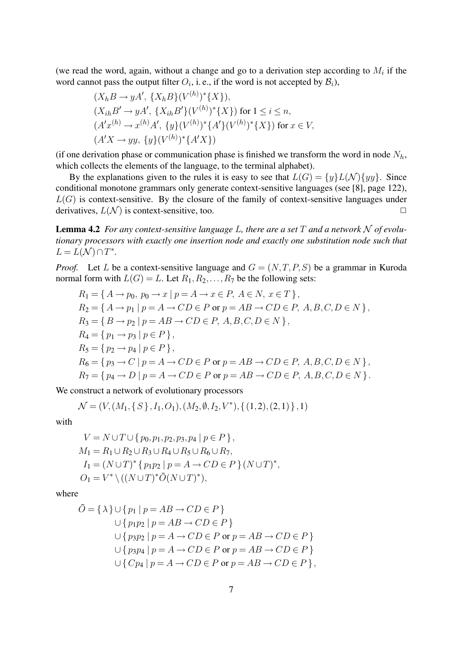(we read the word, again, without a change and go to a derivation step according to  $M_i$  if the word cannot pass the output filter  $O_i$ , i.e., if the word is not accepted by  $\mathcal{B}_i$ ),

$$
(X_h B \to yA', \{X_h B\}(V^{(h)})^*\{X\}),
$$
  
\n
$$
(X_{ih} B' \to yA', \{X_{ih} B'\}(V^{(h)})^*\{X\}) \text{ for } 1 \le i \le n,
$$
  
\n
$$
(A'x^{(h)} \to x^{(h)}A', \{y\}(V^{(h)})^*\{A'\}(V^{(h)})^*\{X\}) \text{ for } x \in V,
$$
  
\n
$$
(A'X \to yy, \{y\}(V^{(h)})^*\{A'X\})
$$

(if one derivation phase or communication phase is finished we transform the word in node  $N_h$ , which collects the elements of the language, to the terminal alphabet).

By the explanations given to the rules it is easy to see that  $L(G) = \{y\}L(\mathcal{N})\{yy\}$ . Since conditional monotone grammars only generate context-sensitive languages (see [8], page 122),  $L(G)$  is context-sensitive. By the closure of the family of context-sensitive languages under derivatives,  $L(\mathcal{N})$  is context-sensitive, too.

Lemma 4.2 *For any context-sensitive language* L*, there are a set* T *and a network* N *of evolutionary processors with exactly one insertion node and exactly one substitution node such that*  $L = L(\mathcal{N}) \cap T^*$ .

*Proof.* Let L be a context-sensitive language and  $G = (N, T, P, S)$  be a grammar in Kuroda normal form with  $L(G) = L$ . Let  $R_1, R_2, \ldots, R_7$  be the following sets:

$$
R_1 = \{ A \rightarrow p_0, \ p_0 \rightarrow x \mid p = A \rightarrow x \in P, \ A \in N, \ x \in T \},
$$
  
\n
$$
R_2 = \{ A \rightarrow p_1 \mid p = A \rightarrow CD \in P \text{ or } p = AB \rightarrow CD \in P, \ A, B, C, D \in N \},
$$
  
\n
$$
R_3 = \{ B \rightarrow p_2 \mid p = AB \rightarrow CD \in P, \ A, B, C, D \in N \},
$$
  
\n
$$
R_4 = \{ p_1 \rightarrow p_3 \mid p \in P \},
$$
  
\n
$$
R_5 = \{ p_2 \rightarrow p_4 \mid p \in P \},
$$
  
\n
$$
R_6 = \{ p_3 \rightarrow C \mid p = A \rightarrow CD \in P \text{ or } p = AB \rightarrow CD \in P, \ A, B, C, D \in N \},
$$
  
\n
$$
R_7 = \{ p_4 \rightarrow D \mid p = A \rightarrow CD \in P \text{ or } p = AB \rightarrow CD \in P, \ A, B, C, D \in N \}.
$$

We construct a network of evolutionary processors

$$
\mathcal{N} = (V, (M_1, \{ S \}, I_1, O_1), (M_2, \emptyset, I_2, V^*), \{ (1, 2), (2, 1) \}, 1)
$$

with

$$
V = N \cup T \cup \{p_0, p_1, p_2, p_3, p_4 \mid p \in P\},
$$
  
\n
$$
M_1 = R_1 \cup R_2 \cup R_3 \cup R_4 \cup R_5 \cup R_6 \cup R_7,
$$
  
\n
$$
I_1 = (N \cup T)^* \{p_1 p_2 \mid p = A \to CD \in P\} (N \cup T)^*,
$$
  
\n
$$
O_1 = V^* \setminus ((N \cup T)^* \bar{O}(N \cup T)^*),
$$

where

$$
\bar{O} = \{ \lambda \} \cup \{ p_1 \mid p = AB \to CD \in P \}
$$
  

$$
\cup \{ p_1 p_2 \mid p = AB \to CD \in P \}
$$
  

$$
\cup \{ p_3 p_2 \mid p = A \to CD \in P \text{ or } p = AB \to CD \in P \}
$$
  

$$
\cup \{ p_3 p_4 \mid p = A \to CD \in P \text{ or } p = AB \to CD \in P \}
$$
  

$$
\cup \{ C p_4 \mid p = A \to CD \in P \text{ or } p = AB \to CD \in P \},
$$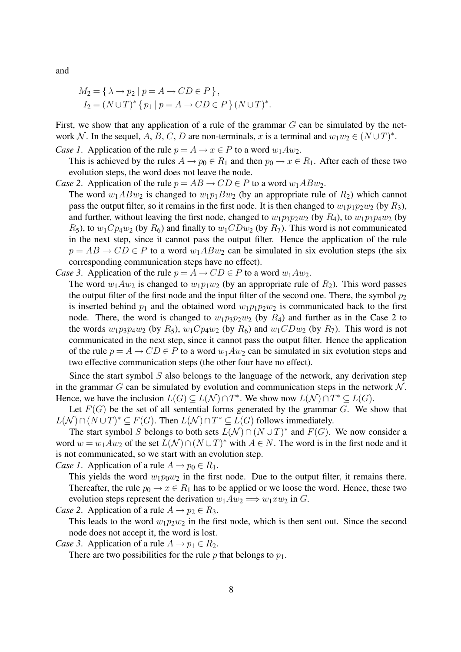and

$$
M_2 = \{ \lambda \rightarrow p_2 \mid p = A \rightarrow CD \in P \},
$$
  
\n
$$
I_2 = (N \cup T)^* \{ p_1 \mid p = A \rightarrow CD \in P \} (N \cup T)^*.
$$

First, we show that any application of a rule of the grammar  $G$  can be simulated by the network N. In the sequel, A, B, C, D are non-terminals, x is a terminal and  $w_1w_2 \in (N \cup T)^*$ .

*Case 1.* Application of the rule  $p = A \rightarrow x \in P$  to a word  $w_1Aw_2$ .

This is achieved by the rules  $A \to p_0 \in R_1$  and then  $p_0 \to x \in R_1$ . After each of these two evolution steps, the word does not leave the node.

- *Case 2.* Application of the rule  $p = AB \rightarrow CD \in P$  to a word  $w_1ABw_2$ .
	- The word  $w_1ABw_2$  is changed to  $w_1p_1Bw_2$  (by an appropriate rule of  $R_2$ ) which cannot pass the output filter, so it remains in the first node. It is then changed to  $w_1p_1p_2w_2$  (by  $R_3$ ), and further, without leaving the first node, changed to  $w_1p_3p_2w_2$  (by  $R_4$ ), to  $w_1p_3p_4w_2$  (by  $R_5$ ), to  $w_1Cp_4w_2$  (by  $R_6$ ) and finally to  $w_1CDw_2$  (by  $R_7$ ). This word is not communicated in the next step, since it cannot pass the output filter. Hence the application of the rule  $p = AB \rightarrow CD \in P$  to a word  $w_1ABw_2$  can be simulated in six evolution steps (the six corresponding communication steps have no effect).
- *Case 3.* Application of the rule  $p = A \rightarrow CD \in P$  to a word  $w_1Aw_2$ .

The word  $w_1Aw_2$  is changed to  $w_1p_1w_2$  (by an appropriate rule of  $R_2$ ). This word passes the output filter of the first node and the input filter of the second one. There, the symbol  $p_2$ is inserted behind  $p_1$  and the obtained word  $w_1p_1p_2w_2$  is communicated back to the first node. There, the word is changed to  $w_1p_3p_2w_2$  (by  $R_4$ ) and further as in the Case 2 to the words  $w_1p_3p_4w_2$  (by  $R_5$ ),  $w_1Cp_4w_2$  (by  $R_6$ ) and  $w_1CDw_2$  (by  $R_7$ ). This word is not communicated in the next step, since it cannot pass the output filter. Hence the application of the rule  $p = A \rightarrow CD \in P$  to a word  $w_1Aw_2$  can be simulated in six evolution steps and two effective communication steps (the other four have no effect).

Since the start symbol  $S$  also belongs to the language of the network, any derivation step in the grammar G can be simulated by evolution and communication steps in the network  $\mathcal{N}$ . Hence, we have the inclusion  $L(G) \subseteq L(\mathcal{N}) \cap T^*$ . We show now  $L(\mathcal{N}) \cap T^* \subseteq L(G)$ .

Let  $F(G)$  be the set of all sentential forms generated by the grammar G. We show that  $L(\mathcal{N}) \cap (N \cup T)^* \subseteq F(G)$ . Then  $L(\mathcal{N}) \cap T^* \subseteq L(G)$  follows immediately.

The start symbol S belongs to both sets  $L(\mathcal{N}) \cap (N \cup T)^*$  and  $F(G)$ . We now consider a word  $w = w_1 A w_2$  of the set  $L(N) \cap (N \cup T)^*$  with  $A \in N$ . The word is in the first node and it is not communicated, so we start with an evolution step.

*Case 1*. Application of a rule  $A \rightarrow p_0 \in R_1$ .

This yields the word  $w_1p_0w_2$  in the first node. Due to the output filter, it remains there. Thereafter, the rule  $p_0 \to x \in R_1$  has to be applied or we loose the word. Hence, these two evolution steps represent the derivation  $w_1Aw_2 \Longrightarrow w_1xw_2$  in G.

*Case 2.* Application of a rule  $A \rightarrow p_2 \in R_3$ .

This leads to the word  $w_1p_2w_2$  in the first node, which is then sent out. Since the second node does not accept it, the word is lost.

*Case 3*. Application of a rule  $A \rightarrow p_1 \in R_2$ .

There are two possibilities for the rule  $p$  that belongs to  $p_1$ .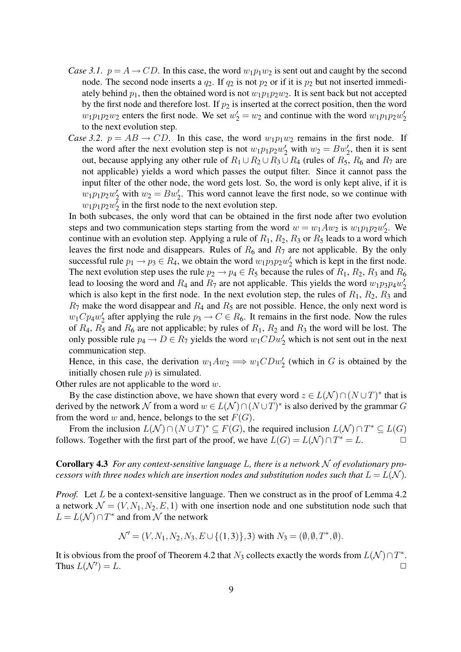- *Case 3.1.*  $p = A \rightarrow CD$ . In this case, the word  $w_1p_1w_2$  is sent out and caught by the second node. The second node inserts a  $q_2$ . If  $q_2$  is not  $p_2$  or if it is  $p_2$  but not inserted immediately behind  $p_1$ , then the obtained word is not  $w_1p_1p_2w_2$ . It is sent back but not accepted by the first node and therefore lost. If  $p_2$  is inserted at the correct position, then the word  $w_1p_1p_2w_2$  enters the first node. We set  $w_2' = w_2$  and continue with the word  $w_1p_1p_2w_2'$ 2 to the next evolution step.
- *Case 3.2.*  $p = AB \rightarrow CD$ . In this case, the word  $w_1p_1w_2$  remains in the first node. If the word after the next evolution step is not  $w_1p_1p_2w_2'$  with  $w_2 = Bw_2'$ , then it is sent out, because applying any other rule of  $R_1 \cup R_2 \cup R_3 \cup R_4$  (rules of  $R_5$ ,  $R_6$  and  $R_7$  are not applicable) yields a word which passes the output filter. Since it cannot pass the input filter of the other node, the word gets lost. So, the word is only kept alive, if it is  $w_1p_1p_2w_2'$  with  $w_2 = Bw_2'$ . This word cannot leave the first node, so we continue with  $w_1p_1p_2w_2^{\overline{\imath}}$  $\frac{1}{2}$  in the first node to the next evolution step.

In both subcases, the only word that can be obtained in the first node after two evolution steps and two communication steps starting from the word  $w = w_1 A w_2$  is  $w_1 p_1 p_2 w_2'$  $v_2'$ . We continue with an evolution step. Applying a rule of  $R_1$ ,  $R_2$ ,  $R_3$  or  $R_5$  leads to a word which leaves the first node and disappears. Rules of  $R_6$  and  $R_7$  are not applicable. By the only successful rule  $p_1 \rightarrow p_3 \in R_4$ , we obtain the word  $w_1 p_3 p_2 w_2'$  which is kept in the first node. The next evolution step uses the rule  $p_2 \rightarrow p_4 \in R_5$  because the rules of  $R_1, R_2, R_3$  and  $R_6$ lead to loosing the word and  $R_4$  and  $R_7$  are not applicable. This yields the word  $w_1p_3p_4w_2^2$ 2 which is also kept in the first node. In the next evolution step, the rules of  $R_1$ ,  $R_2$ ,  $R_3$  and  $R_7$  make the word disappear and  $R_4$  and  $R_5$  are not possible. Hence, the only next word is  $w_1Cp_4w'_2$  $\frac{1}{2}$  after applying the rule  $p_3 \to C \in R_6$ . It remains in the first node. Now the rules of  $R_4$ ,  $R_5$  and  $R_6$  are not applicable; by rules of  $R_1$ ,  $R_2$  and  $R_3$  the word will be lost. The only possible rule  $p_4 \to D \in R_7$  yields the word  $w_1 CDw'_2$  which is not sent out in the next communication step.

Hence, in this case, the derivation  $w_1Aw_2 \Longrightarrow w_1CDw'_2$  (which in G is obtained by the initially chosen rule  $p$ ) is simulated.

Other rules are not applicable to the word  $w$ .

By the case distinction above, we have shown that every word  $z \in L(\mathcal{N}) \cap (N \cup T)^*$  that is derived by the network N from a word  $w \in L(\mathcal{N}) \cap (N \cup T)^*$  is also derived by the grammar G from the word w and, hence, belongs to the set  $F(G)$ .

From the inclusion  $L(N) \cap (N \cup T)^* \subseteq F(G)$ , the required inclusion  $L(N) \cap T^* \subseteq L(G)$ follows. Together with the first part of the proof, we have  $L(G) = L(\mathcal{N}) \cap T^* = L$ .

Corollary 4.3 *For any context-sensitive language* L*, there is a network* N *of evolutionary processors with three nodes which are insertion nodes and substitution nodes such that*  $L = L(\mathcal{N})$ *.* 

*Proof.* Let L be a context-sensitive language. Then we construct as in the proof of Lemma 4.2 a network  $\mathcal{N} = (V, N_1, N_2, E, 1)$  with one insertion node and one substitution node such that  $L = L(\mathcal{N}) \cap T^*$  and from  $\mathcal N$  the network

$$
\mathcal{N}' = (V, N_1, N_2, N_3, E \cup \{(1,3)\}, 3) \text{ with } N_3 = (\emptyset, \emptyset, T^*, \emptyset).
$$

It is obvious from the proof of Theorem 4.2 that  $N_3$  collects exactly the words from  $L(\mathcal{N}) \cap T^*$ . Thus  $L(\mathcal{N}') = L$ .  $) = L.$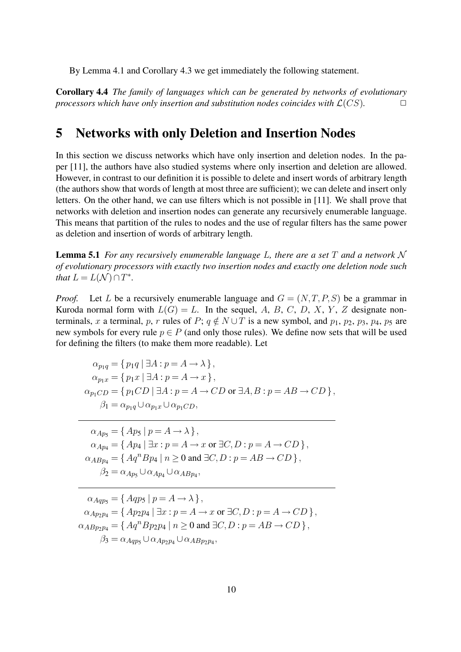By Lemma 4.1 and Corollary 4.3 we get immediately the following statement.

Corollary 4.4 *The family of languages which can be generated by networks of evolutionary processors which have only insertion and substitution nodes coincides with*  $\mathcal{L}(CS)$ .  $\Box$ 

## 5 Networks with only Deletion and Insertion Nodes

In this section we discuss networks which have only insertion and deletion nodes. In the paper [11], the authors have also studied systems where only insertion and deletion are allowed. However, in contrast to our definition it is possible to delete and insert words of arbitrary length (the authors show that words of length at most three are sufficient); we can delete and insert only letters. On the other hand, we can use filters which is not possible in [11]. We shall prove that networks with deletion and insertion nodes can generate any recursively enumerable language. This means that partition of the rules to nodes and the use of regular filters has the same power as deletion and insertion of words of arbitrary length.

Lemma 5.1 *For any recursively enumerable language* L*, there are a set* T *and a network* N *of evolutionary processors with exactly two insertion nodes and exactly one deletion node such that*  $L = L(\mathcal{N}) \cap T^*$ *.* 

*Proof.* Let L be a recursively enumerable language and  $G = (N, T, P, S)$  be a grammar in Kuroda normal form with  $L(G) = L$ . In the sequel, A, B, C, D, X, Y, Z designate nonterminals, x a terminal, p, r rules of P;  $q \notin N \cup T$  is a new symbol, and  $p_1$ ,  $p_2$ ,  $p_3$ ,  $p_4$ ,  $p_5$  are new symbols for every rule  $p \in P$  (and only those rules). We define now sets that will be used for defining the filters (to make them more readable). Let

$$
\alpha_{p_1q} = \{ p_1q \mid \exists A : p = A \rightarrow \lambda \},
$$
  
\n
$$
\alpha_{p_1x} = \{ p_1x \mid \exists A : p = A \rightarrow x \},
$$
  
\n
$$
\alpha_{p_1CD} = \{ p_1CD \mid \exists A : p = A \rightarrow CD \text{ or } \exists A, B : p = AB \rightarrow CD \},
$$
  
\n
$$
\beta_1 = \alpha_{p_1q} \cup \alpha_{p_1x} \cup \alpha_{p_1CD},
$$

 $\alpha_{An5} = \{ Ap_5 \mid p = A \rightarrow \lambda \},\$  $\alpha_{A p_4} = \{ Ap_4 \mid \exists x : p = A \rightarrow x \text{ or } \exists C, D : p = A \rightarrow CD \},\$  $\alpha_{ABp_4} = \{ Aq^nBp_4 \mid n \geq 0 \text{ and } \exists C, D : p = AB \rightarrow CD \},$  $\beta_2 = \alpha_{Ap_5} \cup \alpha_{Ap_4} \cup \alpha_{ABp_4},$ 

 $\alpha_{Aqns} = \{ Aqps | p = A \rightarrow \lambda \},\$  $\alpha_{Ap_2p_4} = \{ Ap_2p_4 \mid \exists x : p = A \rightarrow x \text{ or } \exists C, D : p = A \rightarrow CD \},\$  $\alpha_{ABp_2p_4} = \{ Aq^n Bp_2p_4 \mid n \geq 0 \text{ and } \exists C, D : p = AB \rightarrow CD \},$  $\beta_3 = \alpha_{Aqp_5} \cup \alpha_{Ap_2p_4} \cup \alpha_{ABp_2p_4},$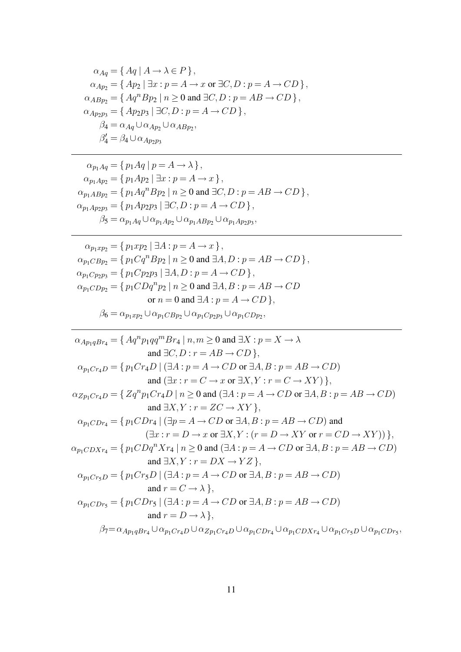$$
\alpha_{Aq} = \{ Aq \mid A \rightarrow \lambda \in P \},
$$
  
\n
$$
\alpha_{Ap_2} = \{ Ap_2 \mid \exists x : p = A \rightarrow x \text{ or } \exists C, D : p = A \rightarrow CD \},
$$
  
\n
$$
\alpha_{ABp_2} = \{ Aq^n Bp_2 \mid n \ge 0 \text{ and } \exists C, D : p = AB \rightarrow CD \},
$$
  
\n
$$
\alpha_{Ap_2p_3} = \{ Ap_2p_3 \mid \exists C, D : p = A \rightarrow CD \},
$$
  
\n
$$
\beta_4 = \alpha_{Aq} \cup \alpha_{Ap_2} \cup \alpha_{ABp_2},
$$
  
\n
$$
\beta_4' = \beta_4 \cup \alpha_{Ap_2p_3}
$$

$$
\alpha_{p_1 A q} = \{ p_1 A q \mid p = A \rightarrow \lambda \},
$$
  
\n
$$
\alpha_{p_1 A p_2} = \{ p_1 A p_2 \mid \exists x : p = A \rightarrow x \},
$$
  
\n
$$
\alpha_{p_1 A B p_2} = \{ p_1 A q^n B p_2 \mid n \ge 0 \text{ and } \exists C, D : p = AB \rightarrow CD \},
$$
  
\n
$$
\alpha_{p_1 A p_2 p_3} = \{ p_1 A p_2 p_3 \mid \exists C, D : p = A \rightarrow CD \},
$$
  
\n
$$
\beta_5 = \alpha_{p_1 A q} \cup \alpha_{p_1 A p_2} \cup \alpha_{p_1 A B p_2} \cup \alpha_{p_1 A p_2 p_3},
$$

$$
\alpha_{p_1xp_2} = \{ p_1xp_2 \mid \exists A : p = A \rightarrow x \},
$$
  
\n
$$
\alpha_{p_1CBp_2} = \{ p_1Cq^nBp_2 \mid n \ge 0 \text{ and } \exists A, D : p = AB \rightarrow CD \},
$$
  
\n
$$
\alpha_{p_1Cp_2p_3} = \{ p_1Cp_2p_3 \mid \exists A, D : p = A \rightarrow CD \},
$$
  
\n
$$
\alpha_{p_1CDp_2} = \{ p_1CDq^n p_2 \mid n \ge 0 \text{ and } \exists A, B : p = AB \rightarrow CD \}
$$
  
\nor 
$$
n = 0 \text{ and } \exists A : p = A \rightarrow CD \},
$$
  
\n
$$
\beta_6 = \alpha_{p_1xp_2} \cup \alpha_{p_1CBp_2} \cup \alpha_{p_1Cp_2p_3} \cup \alpha_{p_1CDp_2},
$$

$$
\alpha_{Ap_1qBr_4} = \{ Aq^n p_1qq^mBr_4 \mid n,m \ge 0 \text{ and } \exists X : p = X \to \lambda
$$
  
\nand  $\exists C, D : r = AB \to CD \},$   
\n
$$
\alpha_{p_1Cr_4D} = \{ p_1Cr_4D \mid (\exists A : p = A \to CD \text{ or } \exists A, B : p = AB \to CD) \text{ and } (\exists x : r = C \to x \text{ or } \exists X, Y : r = C \to XY) \},
$$
  
\n
$$
\alpha_{Zp_1Cr_4D} = \{ Zq^n p_1Cr_4D \mid n \ge 0 \text{ and } (\exists A : p = A \to CD \text{ or } \exists A, B : p = AB \to CD) \text{ and } \exists X, Y : r = ZC \to XY \},
$$
  
\n
$$
\alpha_{p_1CDr_4} = \{ p_1CDr_4 \mid (\exists p = A \to CD \text{ or } \exists A, B : p = AB \to CD) \text{ and } (\exists x : r = D \to x \text{ or } \exists X, Y : (r = D \to XY \text{ or } r = CD \to XY)) \},
$$
  
\n
$$
\alpha_{p_1CDXr_4} = \{ p_1CDq^n Xr_4 \mid n \ge 0 \text{ and } (\exists A : p = A \to CD \text{ or } \exists A, B : p = AB \to CD) \text{ and } \exists X, Y : r = DX \to YZ \},
$$
  
\n
$$
\alpha_{p_1Cr_5D} = \{ p_1Cr_5D \mid (\exists A : p = A \to CD \text{ or } \exists A, B : p = AB \to CD) \text{ and } r = C \to \lambda \},
$$
  
\n
$$
\alpha_{p_1CDr_5} = \{ p_1CDr_5 \mid (\exists A : p = A \to CD \text{ or } \exists A, B : p = AB \to CD) \text{ and } r = D \to \lambda \},
$$
  
\n
$$
\beta_{7} = \alpha_{Ap_1qBr_4} \cup \alpha_{p_1Cr_4D} \cup \alpha_{p_1Cr_4D} \cup \alpha_{p_1CDr_4} \cup \alpha_{p_1CDx_4} \cup \alpha_{p_1Cr_5D} \cup \alpha_{p_1CDr_5},
$$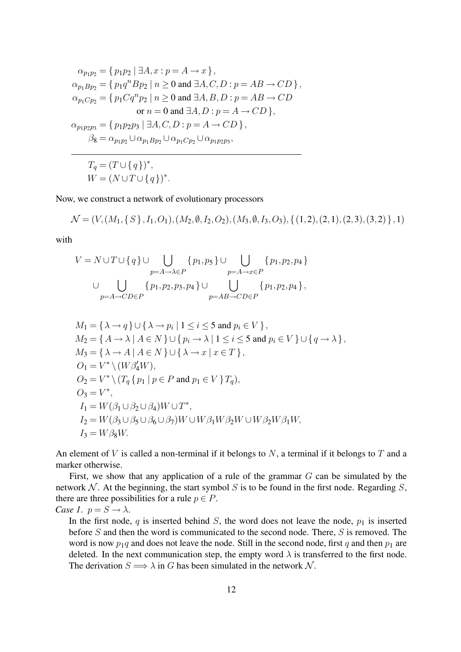$$
\alpha_{p_1p_2} = \{ p_1p_2 \mid \exists A, x : p = A \rightarrow x \},
$$
  
\n
$$
\alpha_{p_1Bp_2} = \{ p_1q^nBp_2 \mid n \ge 0 \text{ and } \exists A, C, D : p = AB \rightarrow CD \},
$$
  
\n
$$
\alpha_{p_1Cp_2} = \{ p_1Cq^n p_2 \mid n \ge 0 \text{ and } \exists A, B, D : p = AB \rightarrow CD \}
$$
  
\nor  $n = 0$  and  $\exists A, D : p = A \rightarrow CD \},$   
\n
$$
\alpha_{p_1p_2p_3} = \{ p_1p_2p_3 \mid \exists A, C, D : p = A \rightarrow CD \},
$$
  
\n
$$
\beta_8 = \alpha_{p_1p_2} \cup \alpha_{p_1Bp_2} \cup \alpha_{p_1Cp_2} \cup \alpha_{p_1p_2p_3},
$$

 $T_q = (T \cup \{q\})^*,$  $W = (N \cup T \cup \{q\})^*$ .

Now, we construct a network of evolutionary processors

$$
\mathcal{N} = (V, (M_1, \{S\}, I_1, O_1), (M_2, \emptyset, I_2, O_2), (M_3, \emptyset, I_3, O_3), \{(1, 2), (2, 1), (2, 3), (3, 2)\}, 1)
$$

with

$$
V = N \cup T \cup \{q\} \cup \bigcup_{p=A \to \lambda \in P} \{p_1, p_5\} \cup \bigcup_{p=A \to x \in P} \{p_1, p_2, p_4\}
$$
  

$$
\cup \bigcup_{p=A \to C D \in P} \{p_1, p_2, p_3, p_4\} \cup \bigcup_{p=A B \to C D \in P} \{p_1, p_2, p_4\},
$$

$$
M_1 = \{\lambda \to q\} \cup \{\lambda \to p_i \mid 1 \le i \le 5 \text{ and } p_i \in V\},
$$
  
\n
$$
M_2 = \{A \to \lambda \mid A \in N\} \cup \{p_i \to \lambda \mid 1 \le i \le 5 \text{ and } p_i \in V\} \cup \{q \to \lambda\},
$$
  
\n
$$
M_3 = \{\lambda \to A \mid A \in N\} \cup \{\lambda \to x \mid x \in T\},
$$
  
\n
$$
O_1 = V^* \setminus (W \beta'_4 W),
$$
  
\n
$$
O_2 = V^* \setminus (T_q \{p_1 \mid p \in P \text{ and } p_1 \in V\} T_q),
$$
  
\n
$$
O_3 = V^*,
$$
  
\n
$$
I_1 = W(\beta_1 \cup \beta_2 \cup \beta_4) W \cup T^*,
$$
  
\n
$$
I_2 = W(\beta_3 \cup \beta_5 \cup \beta_6 \cup \beta_7) W \cup W \beta_1 W \beta_2 W \cup W \beta_2 W \beta_1 W,
$$
  
\n
$$
I_3 = W \beta_8 W.
$$

An element of  $V$  is called a non-terminal if it belongs to  $N$ , a terminal if it belongs to  $T$  and a marker otherwise.

First, we show that any application of a rule of the grammar  $G$  can be simulated by the network  $N$ . At the beginning, the start symbol  $S$  is to be found in the first node. Regarding  $S$ , there are three possibilities for a rule  $p \in P$ . *Case 1.*  $p = S \rightarrow \lambda$ .

In the first node,  $q$  is inserted behind  $S$ , the word does not leave the node,  $p_1$  is inserted before  $S$  and then the word is communicated to the second node. There,  $S$  is removed. The word is now  $p_1q$  and does not leave the node. Still in the second node, first q and then  $p_1$  are deleted. In the next communication step, the empty word  $\lambda$  is transferred to the first node. The derivation  $S \Longrightarrow \lambda$  in G has been simulated in the network N.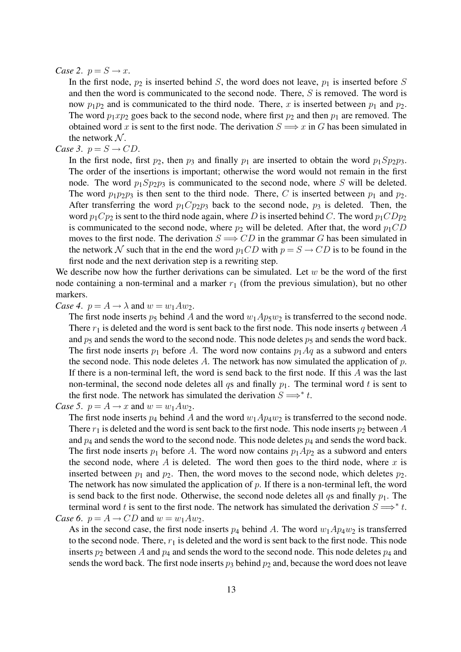#### *Case 2.*  $p = S \rightarrow x$ .

In the first node,  $p_2$  is inserted behind S, the word does not leave,  $p_1$  is inserted before S and then the word is communicated to the second node. There, S is removed. The word is now  $p_1p_2$  and is communicated to the third node. There, x is inserted between  $p_1$  and  $p_2$ . The word  $p_1xp_2$  goes back to the second node, where first  $p_2$  and then  $p_1$  are removed. The obtained word x is sent to the first node. The derivation  $S \implies x$  in G has been simulated in the network  $N$ .

#### *Case 3.*  $p = S \rightarrow CD$ .

In the first node, first  $p_2$ , then  $p_3$  and finally  $p_1$  are inserted to obtain the word  $p_1Sp_2p_3$ . The order of the insertions is important; otherwise the word would not remain in the first node. The word  $p_1Sp_2p_3$  is communicated to the second node, where S will be deleted. The word  $p_1p_2p_3$  is then sent to the third node. There, C is inserted between  $p_1$  and  $p_2$ . After transferring the word  $p_1 C p_2 p_3$  back to the second node,  $p_3$  is deleted. Then, the word  $p_1Cp_2$  is sent to the third node again, where D is inserted behind C. The word  $p_1CDp_2$ is communicated to the second node, where  $p_2$  will be deleted. After that, the word  $p_1CD$ moves to the first node. The derivation  $S \implies CD$  in the grammar G has been simulated in the network N such that in the end the word  $p_1CD$  with  $p = S \rightarrow CD$  is to be found in the first node and the next derivation step is a rewriting step.

We describe now how the further derivations can be simulated. Let  $w$  be the word of the first node containing a non-terminal and a marker  $r_1$  (from the previous simulation), but no other markers.

*Case 4.*  $p = A \rightarrow \lambda$  and  $w = w_1 A w_2$ .

The first node inserts  $p_5$  behind A and the word  $w_1Ap_5w_2$  is transferred to the second node. There  $r_1$  is deleted and the word is sent back to the first node. This node inserts q between A and  $p_5$  and sends the word to the second node. This node deletes  $p_5$  and sends the word back. The first node inserts  $p_1$  before A. The word now contains  $p_1 Aq$  as a subword and enters the second node. This node deletes A. The network has now simulated the application of  $p$ . If there is a non-terminal left, the word is send back to the first node. If this A was the last non-terminal, the second node deletes all qs and finally  $p_1$ . The terminal word t is sent to the first node. The network has simulated the derivation  $S \Longrightarrow^* t$ .

The first node inserts  $p_4$  behind A and the word  $w_1 A p_4 w_2$  is transferred to the second node. There  $r_1$  is deleted and the word is sent back to the first node. This node inserts  $p_2$  between A and  $p_4$  and sends the word to the second node. This node deletes  $p_4$  and sends the word back. The first node inserts  $p_1$  before A. The word now contains  $p_1Ap_2$  as a subword and enters the second node, where  $A$  is deleted. The word then goes to the third node, where  $x$  is inserted between  $p_1$  and  $p_2$ . Then, the word moves to the second node, which deletes  $p_2$ . The network has now simulated the application of  $p$ . If there is a non-terminal left, the word is send back to the first node. Otherwise, the second node deletes all qs and finally  $p_1$ . The terminal word t is sent to the first node. The network has simulated the derivation  $S \Longrightarrow^* t$ . *Case 6.*  $p = A \rightarrow CD$  and  $w = w_1 A w_2$ .

As in the second case, the first node inserts  $p_4$  behind A. The word  $w_1A p_4w_2$  is transferred to the second node. There,  $r_1$  is deleted and the word is sent back to the first node. This node inserts  $p_2$  between A and  $p_4$  and sends the word to the second node. This node deletes  $p_4$  and sends the word back. The first node inserts  $p_3$  behind  $p_2$  and, because the word does not leave

*Case 5*.  $p = A \rightarrow x$  and  $w = w_1 A w_2$ .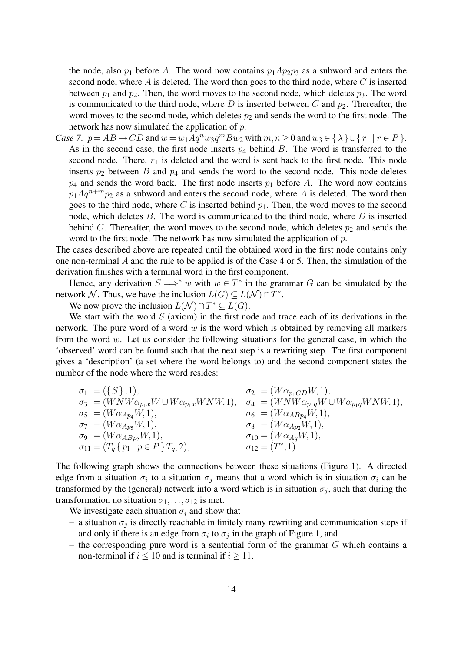the node, also  $p_1$  before A. The word now contains  $p_1Ap_2p_3$  as a subword and enters the second node, where  $A$  is deleted. The word then goes to the third node, where  $C$  is inserted between  $p_1$  and  $p_2$ . Then, the word moves to the second node, which deletes  $p_3$ . The word is communicated to the third node, where D is inserted between C and  $p_2$ . Thereafter, the word moves to the second node, which deletes  $p_2$  and sends the word to the first node. The network has now simulated the application of p.

*Case 7.*  $p = AB \rightarrow CD$  and  $w = w_1 Aq^n w_3 q^m Bw_2$  with  $m, n \ge 0$  and  $w_3 \in \{\lambda\} \cup \{r_1 | r \in P\}$ . As in the second case, the first node inserts  $p_4$  behind B. The word is transferred to the second node. There,  $r_1$  is deleted and the word is sent back to the first node. This node inserts  $p_2$  between B and  $p_4$  and sends the word to the second node. This node deletes  $p_4$  and sends the word back. The first node inserts  $p_1$  before A. The word now contains  $p_1Aq^{n+m}p_2$  as a subword and enters the second node, where A is deleted. The word then goes to the third node, where C is inserted behind  $p_1$ . Then, the word moves to the second node, which deletes  $B$ . The word is communicated to the third node, where  $D$  is inserted behind C. Thereafter, the word moves to the second node, which deletes  $p_2$  and sends the word to the first node. The network has now simulated the application of  $p$ .

The cases described above are repeated until the obtained word in the first node contains only one non-terminal A and the rule to be applied is of the Case 4 or 5. Then, the simulation of the derivation finishes with a terminal word in the first component.

Hence, any derivation  $S \implies^* w$  with  $w \in T^*$  in the grammar G can be simulated by the network N. Thus, we have the inclusion  $L(G) \subseteq L(N) \cap T^*$ .

We now prove the inclusion  $L(\mathcal{N}) \cap T^* \subseteq L(G)$ .

We start with the word  $S$  (axiom) in the first node and trace each of its derivations in the network. The pure word of a word  $w$  is the word which is obtained by removing all markers from the word  $w$ . Let us consider the following situations for the general case, in which the 'observed' word can be found such that the next step is a rewriting step. The first component gives a 'description' (a set where the word belongs to) and the second component states the number of the node where the word resides:

$$
\sigma_1 = (\{S\}, 1), \qquad \sigma_2 = (W\alpha_{p_1CD}W, 1), \n\sigma_3 = (WNW\alpha_{p_1x}W \cup W\alpha_{p_1x}WNW, 1), \qquad \sigma_4 = (WNW\alpha_{p_1q}W \cup W\alpha_{p_1q}WNW, 1), \n\sigma_5 = (W\alpha_{Ap_4}W, 1), \qquad \sigma_6 = (W\alpha_{ABp_4}W, 1), \n\sigma_7 = (W\alpha_{Ap_5}W, 1), \qquad \sigma_8 = (W\alpha_{Ap_2}W, 1), \n\sigma_9 = (W\alpha_{ABp_2}W, 1), \qquad \sigma_{10} = (W\alpha_{Aq}W, 1), \n\sigma_{11} = (T_q \{p_1 \mid p \in P\}T_q, 2), \qquad \sigma_{12} = (T^*, 1).
$$

The following graph shows the connections between these situations (Figure 1). A directed edge from a situation  $\sigma_i$  to a situation  $\sigma_j$  means that a word which is in situation  $\sigma_i$  can be transformed by the (general) network into a word which is in situation  $\sigma_i$ , such that during the transformation no situation  $\sigma_1, \ldots, \sigma_{12}$  is met.

We investigate each situation  $\sigma_i$  and show that

- a situation  $\sigma_i$  is directly reachable in finitely many rewriting and communication steps if and only if there is an edge from  $\sigma_i$  to  $\sigma_j$  in the graph of Figure 1, and
- $-$  the corresponding pure word is a sentential form of the grammar  $G$  which contains a non-terminal if  $i \le 10$  and is terminal if  $i \ge 11$ .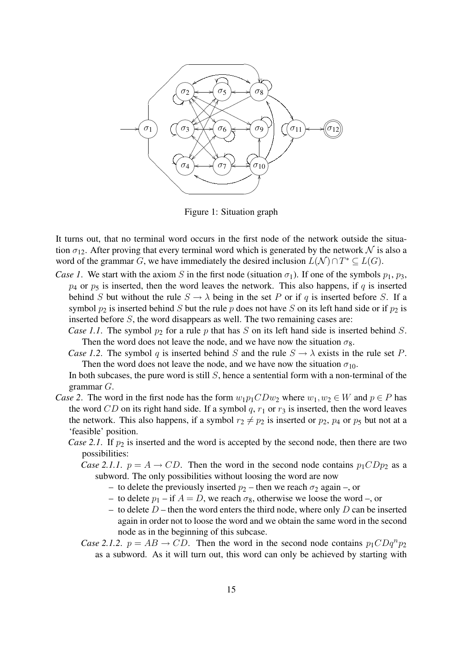

Figure 1: Situation graph

It turns out, that no terminal word occurs in the first node of the network outside the situation  $\sigma_{12}$ . After proving that every terminal word which is generated by the network N is also a word of the grammar G, we have immediately the desired inclusion  $L(\mathcal{N}) \cap T^* \subseteq L(G)$ .

- *Case 1*. We start with the axiom S in the first node (situation  $\sigma_1$ ). If one of the symbols  $p_1, p_3$ ,  $p_4$  or  $p_5$  is inserted, then the word leaves the network. This also happens, if q is inserted behind S but without the rule  $S \to \lambda$  being in the set P or if q is inserted before S. If a symbol  $p_2$  is inserted behind S but the rule p does not have S on its left hand side or if  $p_2$  is inserted before S, the word disappears as well. The two remaining cases are:
	- *Case 1.1.* The symbol  $p_2$  for a rule p that has S on its left hand side is inserted behind S. Then the word does not leave the node, and we have now the situation  $\sigma_8$ .
	- *Case 1.2.* The symbol q is inserted behind S and the rule  $S \to \lambda$  exists in the rule set P. Then the word does not leave the node, and we have now the situation  $\sigma_{10}$ .

In both subcases, the pure word is still  $S$ , hence a sentential form with a non-terminal of the grammar G.

- *Case 2*. The word in the first node has the form  $w_1p_1CDw_2$  where  $w_1, w_2 \in W$  and  $p \in P$  has the word CD on its right hand side. If a symbol  $q, r_1$  or  $r_3$  is inserted, then the word leaves the network. This also happens, if a symbol  $r_2 \neq p_2$  is inserted or  $p_2$ ,  $p_4$  or  $p_5$  but not at a 'feasible' position.
	- *Case 2.1.* If  $p_2$  is inserted and the word is accepted by the second node, then there are two possibilities:
		- *Case 2.1.1.*  $p = A \rightarrow CD$ . Then the word in the second node contains  $p_1CDp_2$  as a subword. The only possibilities without loosing the word are now
			- to delete the previously inserted  $p_2$  then we reach  $\sigma_2$  again –, or
			- to delete  $p_1$  if  $A = D$ , we reach  $\sigma_8$ , otherwise we loose the word –, or
			- to delete  $D$  then the word enters the third node, where only D can be inserted again in order not to loose the word and we obtain the same word in the second node as in the beginning of this subcase.
		- *Case 2.1.2.*  $p = AB \rightarrow CD$ . Then the word in the second node contains  $p_1CDq^n p_2$ as a subword. As it will turn out, this word can only be achieved by starting with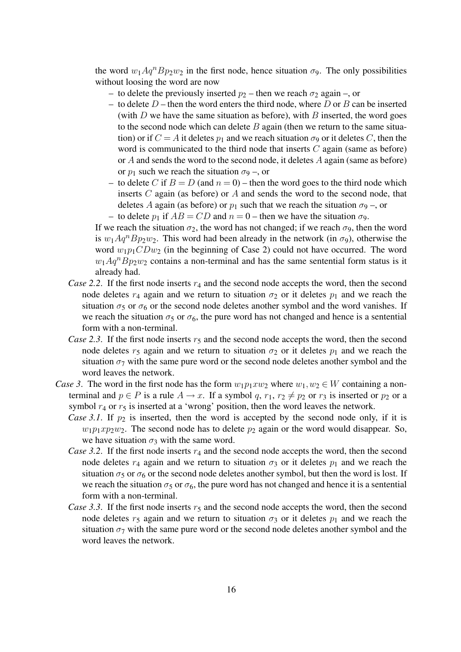the word  $w_1 Aq^n Bp_2w_2$  in the first node, hence situation  $\sigma_9$ . The only possibilities without loosing the word are now

- to delete the previously inserted  $p_2$  then we reach  $\sigma_2$  again –, or
- to delete  $D$  then the word enters the third node, where D or B can be inserted (with  $D$  we have the same situation as before), with  $B$  inserted, the word goes to the second node which can delete  $B$  again (then we return to the same situation) or if  $C = A$  it deletes  $p_1$  and we reach situation  $\sigma_9$  or it deletes C, then the word is communicated to the third node that inserts  $C$  again (same as before) or A and sends the word to the second node, it deletes A again (same as before) or  $p_1$  such we reach the situation  $\sigma_9$  –, or
- to delete C if  $B = D$  (and  $n = 0$ ) then the word goes to the third node which inserts  $C$  again (as before) or  $A$  and sends the word to the second node, that deletes A again (as before) or  $p_1$  such that we reach the situation  $\sigma_9$  –, or – to delete  $p_1$  if  $AB = CD$  and  $n = 0$  – then we have the situation  $\sigma_9$ .

If we reach the situation  $\sigma_2$ , the word has not changed; if we reach  $\sigma_9$ , then the word is  $w_1Aq^nBp_2w_2$ . This word had been already in the network (in  $\sigma_9$ ), otherwise the word  $w_1p_1CDw_2$  (in the beginning of Case 2) could not have occurred. The word  $w_1Aq^nBp_2w_2$  contains a non-terminal and has the same sentential form status is it already had.

- *Case 2.2.* If the first node inserts  $r_4$  and the second node accepts the word, then the second node deletes  $r_4$  again and we return to situation  $\sigma_2$  or it deletes  $p_1$  and we reach the situation  $\sigma_5$  or  $\sigma_6$  or the second node deletes another symbol and the word vanishes. If we reach the situation  $\sigma_5$  or  $\sigma_6$ , the pure word has not changed and hence is a sentential form with a non-terminal.
- *Case 2.3.* If the first node inserts  $r_5$  and the second node accepts the word, then the second node deletes  $r_5$  again and we return to situation  $\sigma_2$  or it deletes  $p_1$  and we reach the situation  $\sigma$ <sub>7</sub> with the same pure word or the second node deletes another symbol and the word leaves the network.
- *Case 3*. The word in the first node has the form  $w_1p_1xw_2$  where  $w_1, w_2 \in W$  containing a nonterminal and  $p \in P$  is a rule  $A \to x$ . If a symbol q,  $r_1$ ,  $r_2 \neq p_2$  or  $r_3$  is inserted or  $p_2$  or a symbol  $r_4$  or  $r_5$  is inserted at a 'wrong' position, then the word leaves the network.
	- *Case 3.1.* If  $p_2$  is inserted, then the word is accepted by the second node only, if it is  $w_1p_1xp_2w_2$ . The second node has to delete  $p_2$  again or the word would disappear. So, we have situation  $\sigma_3$  with the same word.
	- *Case 3.2.* If the first node inserts  $r_4$  and the second node accepts the word, then the second node deletes  $r_4$  again and we return to situation  $\sigma_3$  or it deletes  $p_1$  and we reach the situation  $\sigma_5$  or  $\sigma_6$  or the second node deletes another symbol, but then the word is lost. If we reach the situation  $\sigma_5$  or  $\sigma_6$ , the pure word has not changed and hence it is a sentential form with a non-terminal.
	- *Case 3.3.* If the first node inserts  $r_5$  and the second node accepts the word, then the second node deletes  $r_5$  again and we return to situation  $\sigma_3$  or it deletes  $p_1$  and we reach the situation  $\sigma$ <sub>7</sub> with the same pure word or the second node deletes another symbol and the word leaves the network.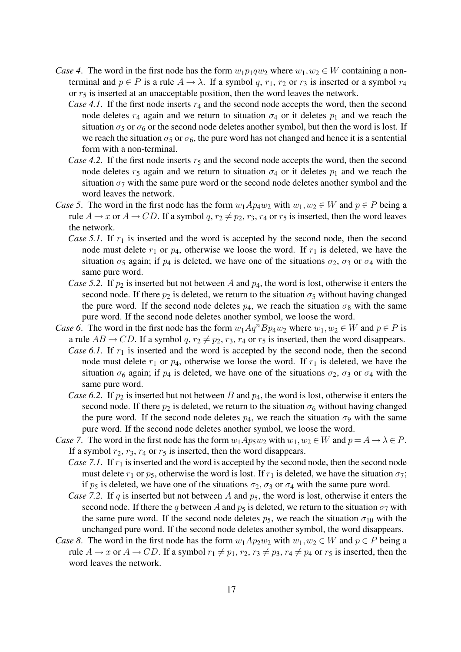- *Case 4.* The word in the first node has the form  $w_1p_1qw_2$  where  $w_1, w_2 \in W$  containing a nonterminal and  $p \in P$  is a rule  $A \to \lambda$ . If a symbol q,  $r_1$ ,  $r_2$  or  $r_3$  is inserted or a symbol  $r_4$ or  $r<sub>5</sub>$  is inserted at an unacceptable position, then the word leaves the network.
	- *Case 4.1.* If the first node inserts  $r_4$  and the second node accepts the word, then the second node deletes  $r_4$  again and we return to situation  $\sigma_4$  or it deletes  $p_1$  and we reach the situation  $\sigma_5$  or  $\sigma_6$  or the second node deletes another symbol, but then the word is lost. If we reach the situation  $\sigma_5$  or  $\sigma_6$ , the pure word has not changed and hence it is a sentential form with a non-terminal.
	- *Case 4.2.* If the first node inserts  $r_5$  and the second node accepts the word, then the second node deletes  $r_5$  again and we return to situation  $\sigma_4$  or it deletes  $p_1$  and we reach the situation  $\sigma_7$  with the same pure word or the second node deletes another symbol and the word leaves the network.
- *Case 5*. The word in the first node has the form  $w_1 A p_4 w_2$  with  $w_1, w_2 \in W$  and  $p \in P$  being a rule  $A \rightarrow x$  or  $A \rightarrow CD$ . If a symbol q,  $r_2 \neq p_2$ ,  $r_3$ ,  $r_4$  or  $r_5$  is inserted, then the word leaves the network.
	- *Case 5.1.* If  $r_1$  is inserted and the word is accepted by the second node, then the second node must delete  $r_1$  or  $p_4$ , otherwise we loose the word. If  $r_1$  is deleted, we have the situation  $\sigma_5$  again; if  $p_4$  is deleted, we have one of the situations  $\sigma_2$ ,  $\sigma_3$  or  $\sigma_4$  with the same pure word.
	- *Case 5.2.* If  $p_2$  is inserted but not between A and  $p_4$ , the word is lost, otherwise it enters the second node. If there  $p_2$  is deleted, we return to the situation  $\sigma_5$  without having changed the pure word. If the second node deletes  $p_4$ , we reach the situation  $\sigma_8$  with the same pure word. If the second node deletes another symbol, we loose the word.
- *Case 6*. The word in the first node has the form  $w_1 Aq^n B p_4 w_2$  where  $w_1, w_2 \in W$  and  $p \in P$  is a rule  $AB \rightarrow CD$ . If a symbol q,  $r_2 \neq p_2$ ,  $r_3$ ,  $r_4$  or  $r_5$  is inserted, then the word disappears.
	- *Case 6.1.* If  $r_1$  is inserted and the word is accepted by the second node, then the second node must delete  $r_1$  or  $p_4$ , otherwise we loose the word. If  $r_1$  is deleted, we have the situation  $\sigma_6$  again; if  $p_4$  is deleted, we have one of the situations  $\sigma_2$ ,  $\sigma_3$  or  $\sigma_4$  with the same pure word.
	- *Case 6.2.* If  $p_2$  is inserted but not between B and  $p_4$ , the word is lost, otherwise it enters the second node. If there  $p_2$  is deleted, we return to the situation  $\sigma_6$  without having changed the pure word. If the second node deletes  $p_4$ , we reach the situation  $\sigma_9$  with the same pure word. If the second node deletes another symbol, we loose the word.
- *Case 7.* The word in the first node has the form  $w_1 A p_5 w_2$  with  $w_1, w_2 \in W$  and  $p = A \rightarrow \lambda \in P$ . If a symbol  $r_2$ ,  $r_3$ ,  $r_4$  or  $r_5$  is inserted, then the word disappears.
	- *Case 7.1.* If  $r_1$  is inserted and the word is accepted by the second node, then the second node must delete  $r_1$  or  $p_5$ , otherwise the word is lost. If  $r_1$  is deleted, we have the situation  $\sigma_7$ ; if  $p_5$  is deleted, we have one of the situations  $\sigma_2$ ,  $\sigma_3$  or  $\sigma_4$  with the same pure word.
	- *Case 7.2.* If q is inserted but not between A and  $p_5$ , the word is lost, otherwise it enters the second node. If there the q between A and  $p_5$  is deleted, we return to the situation  $\sigma_7$  with the same pure word. If the second node deletes  $p_5$ , we reach the situation  $\sigma_{10}$  with the unchanged pure word. If the second node deletes another symbol, the word disappears.
- *Case 8*. The word in the first node has the form  $w_1 A p_2 w_2$  with  $w_1, w_2 \in W$  and  $p \in P$  being a rule  $A \rightarrow x$  or  $A \rightarrow CD$ . If a symbol  $r_1 \neq p_1$ ,  $r_2$ ,  $r_3 \neq p_3$ ,  $r_4 \neq p_4$  or  $r_5$  is inserted, then the word leaves the network.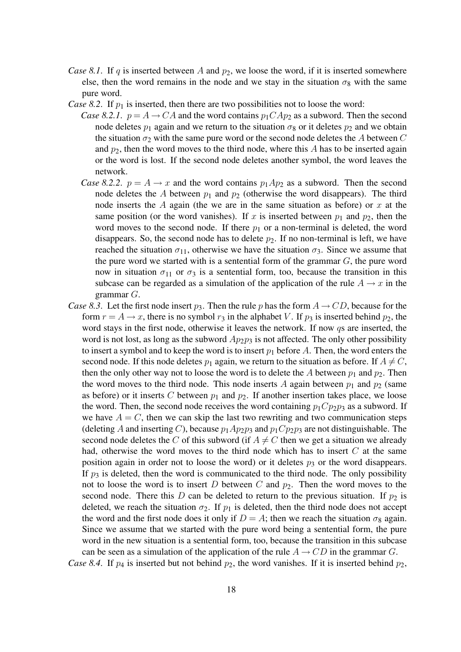- *Case 8.1.* If q is inserted between A and  $p_2$ , we loose the word, if it is inserted somewhere else, then the word remains in the node and we stay in the situation  $\sigma_8$  with the same pure word.
- *Case 8.2.* If  $p_1$  is inserted, then there are two possibilities not to loose the word:
	- *Case 8.2.1.*  $p = A \rightarrow CA$  and the word contains  $p_1 C A p_2$  as a subword. Then the second node deletes  $p_1$  again and we return to the situation  $\sigma_8$  or it deletes  $p_2$  and we obtain the situation  $\sigma_2$  with the same pure word or the second node deletes the A between C and  $p_2$ , then the word moves to the third node, where this A has to be inserted again or the word is lost. If the second node deletes another symbol, the word leaves the network.
	- *Case 8.2.2.*  $p = A \rightarrow x$  and the word contains  $p_1Ap_2$  as a subword. Then the second node deletes the A between  $p_1$  and  $p_2$  (otherwise the word disappears). The third node inserts the  $A$  again (the we are in the same situation as before) or  $x$  at the same position (or the word vanishes). If x is inserted between  $p_1$  and  $p_2$ , then the word moves to the second node. If there  $p_1$  or a non-terminal is deleted, the word disappears. So, the second node has to delete  $p_2$ . If no non-terminal is left, we have reached the situation  $\sigma_{11}$ , otherwise we have the situation  $\sigma_3$ . Since we assume that the pure word we started with is a sentential form of the grammar  $G$ , the pure word now in situation  $\sigma_{11}$  or  $\sigma_3$  is a sentential form, too, because the transition in this subcase can be regarded as a simulation of the application of the rule  $A \rightarrow x$  in the grammar G.
- *Case 8.3.* Let the first node insert  $p_3$ . Then the rule p has the form  $A \rightarrow CD$ , because for the form  $r = A \rightarrow x$ , there is no symbol  $r_3$  in the alphabet V. If  $p_3$  is inserted behind  $p_2$ , the word stays in the first node, otherwise it leaves the network. If now qs are inserted, the word is not lost, as long as the subword  $Ap_2p_3$  is not affected. The only other possibility to insert a symbol and to keep the word is to insert  $p_1$  before A. Then, the word enters the second node. If this node deletes  $p_1$  again, we return to the situation as before. If  $A \neq C$ , then the only other way not to loose the word is to delete the A between  $p_1$  and  $p_2$ . Then the word moves to the third node. This node inserts A again between  $p_1$  and  $p_2$  (same as before) or it inserts C between  $p_1$  and  $p_2$ . If another insertion takes place, we loose the word. Then, the second node receives the word containing  $p_1Cp_2p_3$  as a subword. If we have  $A = C$ , then we can skip the last two rewriting and two communication steps (deleting A and inserting C), because  $p_1Ap_2p_3$  and  $p_1Cp_2p_3$  are not distinguishable. The second node deletes the C of this subword (if  $A \neq C$  then we get a situation we already had, otherwise the word moves to the third node which has to insert C at the same position again in order not to loose the word) or it deletes  $p_3$  or the word disappears. If  $p_3$  is deleted, then the word is communicated to the third node. The only possibility not to loose the word is to insert D between C and  $p_2$ . Then the word moves to the second node. There this D can be deleted to return to the previous situation. If  $p_2$  is deleted, we reach the situation  $\sigma_2$ . If  $p_1$  is deleted, then the third node does not accept the word and the first node does it only if  $D = A$ ; then we reach the situation  $\sigma_8$  again. Since we assume that we started with the pure word being a sentential form, the pure word in the new situation is a sentential form, too, because the transition in this subcase can be seen as a simulation of the application of the rule  $A \rightarrow CD$  in the grammar G.

*Case 8.4.* If  $p_4$  is inserted but not behind  $p_2$ , the word vanishes. If it is inserted behind  $p_2$ ,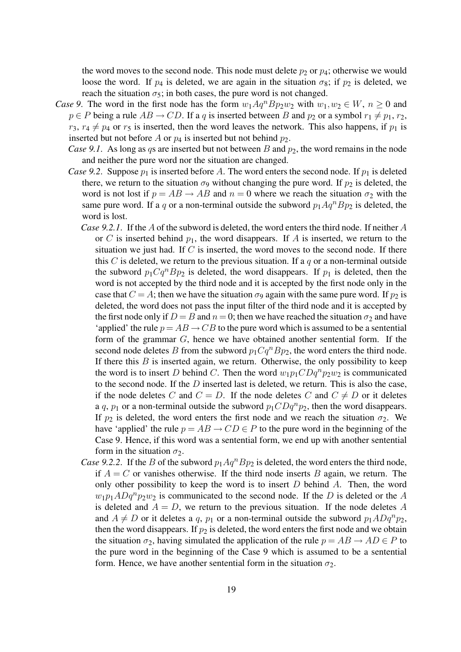the word moves to the second node. This node must delete  $p_2$  or  $p_4$ ; otherwise we would loose the word. If  $p_4$  is deleted, we are again in the situation  $\sigma_8$ ; if  $p_2$  is deleted, we reach the situation  $\sigma_5$ ; in both cases, the pure word is not changed.

- *Case 9*. The word in the first node has the form  $w_1 Aq^n Bp_2w_2$  with  $w_1, w_2 \in W$ ,  $n \ge 0$  and  $p \in P$  being a rule  $AB \to CD$ . If a q is inserted between B and  $p_2$  or a symbol  $r_1 \neq p_1, r_2$ ,  $r_3$ ,  $r_4 \neq p_4$  or  $r_5$  is inserted, then the word leaves the network. This also happens, if  $p_1$  is inserted but not before A or  $p_4$  is inserted but not behind  $p_2$ .
	- *Case 9.1.* As long as qs are inserted but not between  $B$  and  $p_2$ , the word remains in the node and neither the pure word nor the situation are changed.
	- *Case 9.2.* Suppose  $p_1$  is inserted before A. The word enters the second node. If  $p_1$  is deleted there, we return to the situation  $\sigma_9$  without changing the pure word. If  $p_2$  is deleted, the word is not lost if  $p = AB \rightarrow AB$  and  $n = 0$  where we reach the situation  $\sigma_2$  with the same pure word. If a q or a non-terminal outside the subword  $p_1Aq^nBp_2$  is deleted, the word is lost.
		- *Case 9.2.1*. If the A of the subword is deleted, the word enters the third node. If neither A or C is inserted behind  $p_1$ , the word disappears. If A is inserted, we return to the situation we just had. If  $C$  is inserted, the word moves to the second node. If there this C is deleted, we return to the previous situation. If a  $q$  or a non-terminal outside the subword  $p_1 Cq^n Bp_2$  is deleted, the word disappears. If  $p_1$  is deleted, then the word is not accepted by the third node and it is accepted by the first node only in the case that  $C = A$ ; then we have the situation  $\sigma_9$  again with the same pure word. If  $p_2$  is deleted, the word does not pass the input filter of the third node and it is accepted by the first node only if  $D = B$  and  $n = 0$ ; then we have reached the situation  $\sigma_2$  and have 'applied' the rule  $p = AB \rightarrow CB$  to the pure word which is assumed to be a sentential form of the grammar G, hence we have obtained another sentential form. If the second node deletes B from the subword  $p_1Cq^nBp_2$ , the word enters the third node. If there this  $B$  is inserted again, we return. Otherwise, the only possibility to keep the word is to insert D behind C. Then the word  $w_1p_1CDq^np_2w_2$  is communicated to the second node. If the  $D$  inserted last is deleted, we return. This is also the case, if the node deletes C and  $C = D$ . If the node deletes C and  $C \neq D$  or it deletes a q,  $p_1$  or a non-terminal outside the subword  $p_1CDq^np_2$ , then the word disappears. If  $p_2$  is deleted, the word enters the first node and we reach the situation  $\sigma_2$ . We have 'applied' the rule  $p = AB \rightarrow CD \in P$  to the pure word in the beginning of the Case 9. Hence, if this word was a sentential form, we end up with another sentential form in the situation  $\sigma_2$ .
		- *Case 9.2.2.* If the B of the subword  $p_1Aq^nBp_2$  is deleted, the word enters the third node, if  $A = C$  or vanishes otherwise. If the third node inserts B again, we return. The only other possibility to keep the word is to insert  $D$  behind  $A$ . Then, the word  $w_1p_1ADq^np_2w_2$  is communicated to the second node. If the D is deleted or the A is deleted and  $A = D$ , we return to the previous situation. If the node deletes A and  $A \neq D$  or it deletes a q,  $p_1$  or a non-terminal outside the subword  $p_1ADq^np_2$ , then the word disappears. If  $p_2$  is deleted, the word enters the first node and we obtain the situation  $\sigma_2$ , having simulated the application of the rule  $p = AB \rightarrow AD \in P$  to the pure word in the beginning of the Case 9 which is assumed to be a sentential form. Hence, we have another sentential form in the situation  $\sigma_2$ .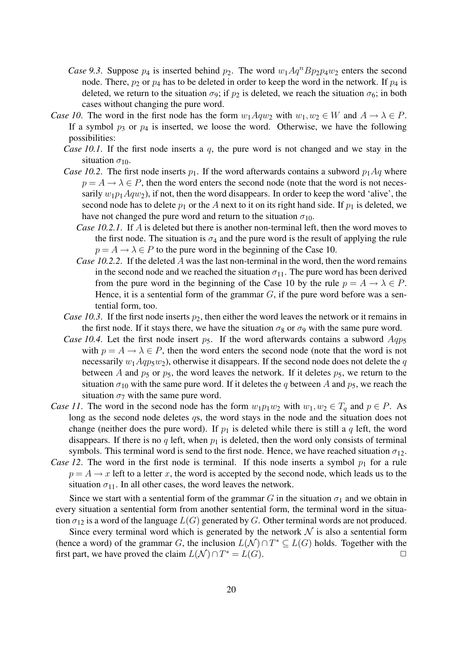- *Case 9.3.* Suppose  $p_4$  is inserted behind  $p_2$ . The word  $w_1 Aq^n Bp_2p_4w_2$  enters the second node. There,  $p_2$  or  $p_4$  has to be deleted in order to keep the word in the network. If  $p_4$  is deleted, we return to the situation  $\sigma_9$ ; if  $p_2$  is deleted, we reach the situation  $\sigma_6$ ; in both cases without changing the pure word.
- *Case 10.* The word in the first node has the form  $w_1 A q w_2$  with  $w_1, w_2 \in W$  and  $A \to \lambda \in P$ . If a symbol  $p_3$  or  $p_4$  is inserted, we loose the word. Otherwise, we have the following possibilities:
	- *Case 10.1*. If the first node inserts a q, the pure word is not changed and we stay in the situation  $\sigma_{10}$ .
	- *Case 10.2.* The first node inserts  $p_1$ . If the word afterwards contains a subword  $p_1Aq$  where  $p = A \rightarrow \lambda \in P$ , then the word enters the second node (note that the word is not necessarily  $w_1p_1Aqw_2$ ), if not, then the word disappears. In order to keep the word 'alive', the second node has to delete  $p_1$  or the A next to it on its right hand side. If  $p_1$  is deleted, we have not changed the pure word and return to the situation  $\sigma_{10}$ .
		- *Case 10.2.1.* If A is deleted but there is another non-terminal left, then the word moves to the first node. The situation is  $\sigma_4$  and the pure word is the result of applying the rule  $p = A \rightarrow \lambda \in P$  to the pure word in the beginning of the Case 10.
		- *Case 10.2.2.* If the deleted A was the last non-terminal in the word, then the word remains in the second node and we reached the situation  $\sigma_{11}$ . The pure word has been derived from the pure word in the beginning of the Case 10 by the rule  $p = A \rightarrow \lambda \in P$ . Hence, it is a sentential form of the grammar  $G$ , if the pure word before was a sentential form, too.
	- *Case 10.3.* If the first node inserts  $p_2$ , then either the word leaves the network or it remains in the first node. If it stays there, we have the situation  $\sigma_8$  or  $\sigma_9$  with the same pure word.
	- *Case 10.4.* Let the first node insert  $p_5$ . If the word afterwards contains a subword  $Aqp_5$ with  $p = A \rightarrow \lambda \in P$ , then the word enters the second node (note that the word is not necessarily  $w_1 A q p_5 w_2$ , otherwise it disappears. If the second node does not delete the q between A and  $p_5$  or  $p_5$ , the word leaves the network. If it deletes  $p_5$ , we return to the situation  $\sigma_{10}$  with the same pure word. If it deletes the q between A and  $p_5$ , we reach the situation  $\sigma_7$  with the same pure word.
- *Case 11*. The word in the second node has the form  $w_1p_1w_2$  with  $w_1, w_2 \in T_q$  and  $p \in P$ . As long as the second node deletes qs, the word stays in the node and the situation does not change (neither does the pure word). If  $p_1$  is deleted while there is still a q left, the word disappears. If there is no q left, when  $p_1$  is deleted, then the word only consists of terminal symbols. This terminal word is send to the first node. Hence, we have reached situation  $\sigma_{12}$ .
- *Case 12.* The word in the first node is terminal. If this node inserts a symbol  $p_1$  for a rule  $p = A \rightarrow x$  left to a letter x, the word is accepted by the second node, which leads us to the situation  $\sigma_{11}$ . In all other cases, the word leaves the network.

Since we start with a sentential form of the grammar G in the situation  $\sigma_1$  and we obtain in every situation a sentential form from another sentential form, the terminal word in the situation  $\sigma_{12}$  is a word of the language  $L(G)$  generated by G. Other terminal words are not produced.

Since every terminal word which is generated by the network  $\mathcal N$  is also a sentential form (hence a word) of the grammar G, the inclusion  $L(\mathcal{N}) \cap T^* \subseteq L(G)$  holds. Together with the first part, we have proved the claim  $L(N) \cap T^* = L(G)$ .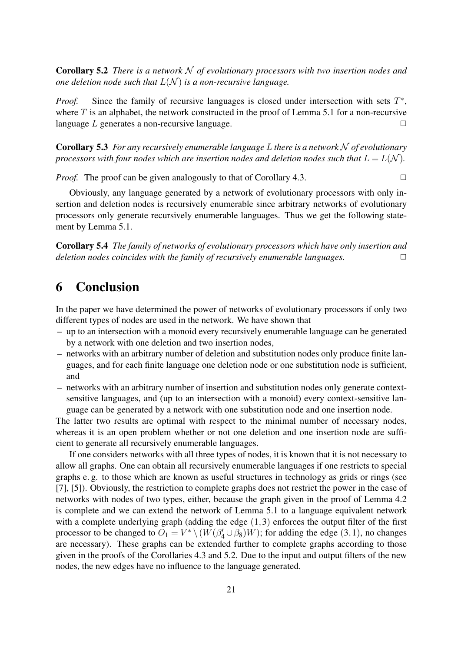Corollary 5.2 *There is a network* N *of evolutionary processors with two insertion nodes and one deletion node such that* L(N ) *is a non-recursive language.*

*Proof.* Since the family of recursive languages is closed under intersection with sets  $T^*$ , where  $T$  is an alphabet, the network constructed in the proof of Lemma 5.1 for a non-recursive language  $L$  generates a non-recursive language.  $\Box$ 

Corollary 5.3 *For any recursively enumerable language* L *there is a network* N *of evolutionary processors with four nodes which are insertion nodes and deletion nodes such that*  $L = L(\mathcal{N})$ *.* 

*Proof.* The proof can be given analogously to that of Corollary 4.3.

Obviously, any language generated by a network of evolutionary processors with only insertion and deletion nodes is recursively enumerable since arbitrary networks of evolutionary processors only generate recursively enumerable languages. Thus we get the following statement by Lemma 5.1.

Corollary 5.4 *The family of networks of evolutionary processors which have only insertion and deletion nodes coincides with the family of recursively enumerable languages.* ✷

### 6 Conclusion

In the paper we have determined the power of networks of evolutionary processors if only two different types of nodes are used in the network. We have shown that

- up to an intersection with a monoid every recursively enumerable language can be generated by a network with one deletion and two insertion nodes,
- networks with an arbitrary number of deletion and substitution nodes only produce finite languages, and for each finite language one deletion node or one substitution node is sufficient, and
- networks with an arbitrary number of insertion and substitution nodes only generate contextsensitive languages, and (up to an intersection with a monoid) every context-sensitive language can be generated by a network with one substitution node and one insertion node.

The latter two results are optimal with respect to the minimal number of necessary nodes, whereas it is an open problem whether or not one deletion and one insertion node are sufficient to generate all recursively enumerable languages.

If one considers networks with all three types of nodes, it is known that it is not necessary to allow all graphs. One can obtain all recursively enumerable languages if one restricts to special graphs e. g. to those which are known as useful structures in technology as grids or rings (see [7], [5]). Obviously, the restriction to complete graphs does not restrict the power in the case of networks with nodes of two types, either, because the graph given in the proof of Lemma 4.2 is complete and we can extend the network of Lemma 5.1 to a language equivalent network with a complete underlying graph (adding the edge  $(1,3)$  enforces the output filter of the first processor to be changed to  $O_1 = V^* \setminus (W(\beta_4' \cup \beta_8)W)$ ; for adding the edge (3,1), no changes are necessary). These graphs can be extended further to complete graphs according to those given in the proofs of the Corollaries 4.3 and 5.2. Due to the input and output filters of the new nodes, the new edges have no influence to the language generated.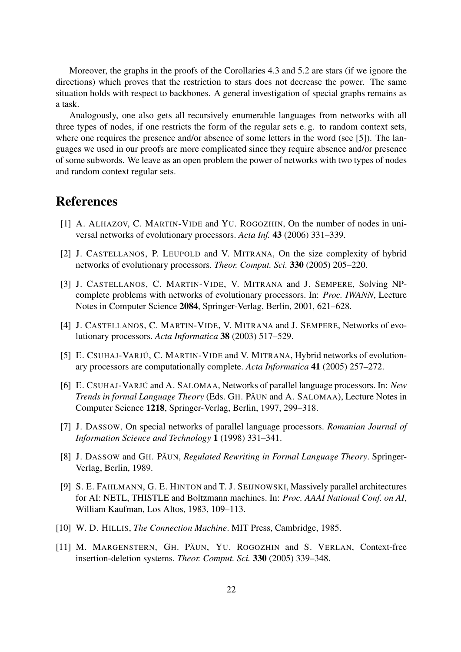Moreover, the graphs in the proofs of the Corollaries 4.3 and 5.2 are stars (if we ignore the directions) which proves that the restriction to stars does not decrease the power. The same situation holds with respect to backbones. A general investigation of special graphs remains as a task.

Analogously, one also gets all recursively enumerable languages from networks with all three types of nodes, if one restricts the form of the regular sets e. g. to random context sets, where one requires the presence and/or absence of some letters in the word (see [5]). The languages we used in our proofs are more complicated since they require absence and/or presence of some subwords. We leave as an open problem the power of networks with two types of nodes and random context regular sets.

### **References**

- [1] A. ALHAZOV, C. MARTIN-VIDE and YU. ROGOZHIN, On the number of nodes in universal networks of evolutionary processors. *Acta Inf.* 43 (2006) 331–339.
- [2] J. CASTELLANOS, P. LEUPOLD and V. MITRANA, On the size complexity of hybrid networks of evolutionary processors. *Theor. Comput. Sci.* 330 (2005) 205–220.
- [3] J. CASTELLANOS, C. MARTIN-VIDE, V. MITRANA and J. SEMPERE, Solving NPcomplete problems with networks of evolutionary processors. In: *Proc. IWANN*, Lecture Notes in Computer Science 2084, Springer-Verlag, Berlin, 2001, 621–628.
- [4] J. CASTELLANOS, C. MARTIN-VIDE, V. MITRANA and J. SEMPERE, Networks of evolutionary processors. *Acta Informatica* 38 (2003) 517–529.
- [5] E. CSUHAJ-VARJÚ, C. MARTIN-VIDE and V. MITRANA, Hybrid networks of evolutionary processors are computationally complete. *Acta Informatica* 41 (2005) 257–272.
- [6] E. CSUHAJ-VARJÚ and A. SALOMAA, Networks of parallel language processors. In: *New Trends in formal Language Theory* (Eds. GH. PAUN and A. SALOMAA), Lecture Notes in Computer Science 1218, Springer-Verlag, Berlin, 1997, 299–318.
- [7] J. DASSOW, On special networks of parallel language processors. *Romanian Journal of Information Science and Technology* 1 (1998) 331–341.
- [8] J. DASSOW and GH. PAUN, *Regulated Rewriting in Formal Language Theory*. Springer-Verlag, Berlin, 1989.
- [9] S. E. FAHLMANN, G. E. HINTON and T. J. SEIJNOWSKI, Massively parallel architectures for AI: NETL, THISTLE and Boltzmann machines. In: *Proc. AAAI National Conf. on AI*, William Kaufman, Los Altos, 1983, 109–113.
- [10] W. D. HILLIS, *The Connection Machine*. MIT Press, Cambridge, 1985.
- [11] M. MARGENSTERN, GH. PAUN, YU. ROGOZHIN and S. VERLAN, Context-free insertion-deletion systems. *Theor. Comput. Sci.* 330 (2005) 339–348.